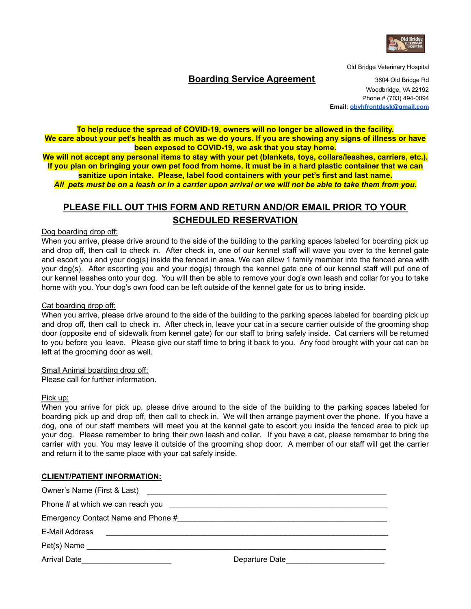

Old Bridge Veterinary Hospital

### **Boarding Service Agreement** 3604 Old Bridge Rd

Woodbridge, VA 22192 Phone # (703) 494-0094 **Email: [obvhfrontdesk@gmail.com](mailto:obvhfrontdesk@gmail.com)**

**To help reduce the spread of COVID-19, owners will no longer be allowed in the facility.** We care about your pet's health as much as we do yours. If you are showing any signs of illness or have **been exposed to COVID-19, we ask that you stay home.**

We will not accept any personal items to stay with your pet (blankets, toys, collars/leashes, carriers, etc.). If you plan on bringing your own pet food from home, it must be in a hard plastic container that we can **sanitize upon intake. Please, label food containers with your pet's first and last name.**

All pets must be on a leash or in a carrier upon arrival or we will not be able to take them from you.

# **PLEASE FILL OUT THIS FORM AND RETURN AND/OR EMAIL PRIOR TO YOUR SCHEDULED RESERVATION**

Dog boarding drop off:

When you arrive, please drive around to the side of the building to the parking spaces labeled for boarding pick up and drop off, then call to check in. After check in, one of our kennel staff will wave you over to the kennel gate and escort you and your dog(s) inside the fenced in area. We can allow 1 family member into the fenced area with your dog(s). After escorting you and your dog(s) through the kennel gate one of our kennel staff will put one of our kennel leashes onto your dog. You will then be able to remove your dog's own leash and collar for you to take home with you. Your dog's own food can be left outside of the kennel gate for us to bring inside.

#### Cat boarding drop off:

When you arrive, please drive around to the side of the building to the parking spaces labeled for boarding pick up and drop off, then call to check in. After check in, leave your cat in a secure carrier outside of the grooming shop door (opposite end of sidewalk from kennel gate) for our staff to bring safely inside. Cat carriers will be returned to you before you leave. Please give our staff time to bring it back to you. Any food brought with your cat can be left at the grooming door as well.

Small Animal boarding drop off:

Please call for further information.

#### Pick up:

When you arrive for pick up, please drive around to the side of the building to the parking spaces labeled for boarding pick up and drop off, then call to check in. We will then arrange payment over the phone. If you have a dog, one of our staff members will meet you at the kennel gate to escort you inside the fenced area to pick up your dog. Please remember to bring their own leash and collar. If you have a cat, please remember to bring the carrier with you. You may leave it outside of the grooming shop door. A member of our staff will get the carrier and return it to the same place with your cat safely inside.

#### **CLIENT/PATIENT INFORMATION:**

| Emergency Contact Name and Phone #                                                       |                |
|------------------------------------------------------------------------------------------|----------------|
| E-Mail Address<br><u> 1980 - Jan Barbara, martin da kasar Amerikaan kasar Indonesia.</u> |                |
|                                                                                          |                |
| <b>Arrival Date</b>                                                                      | Departure Date |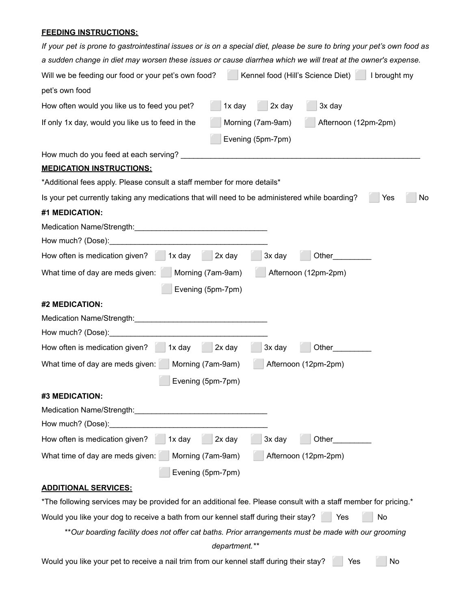## **FEEDING INSTRUCTIONS:**

| If your pet is prone to gastrointestinal issues or is on a special diet, please be sure to bring your pet's own food as                             |
|-----------------------------------------------------------------------------------------------------------------------------------------------------|
| a sudden change in diet may worsen these issues or cause diarrhea which we will treat at the owner's expense.                                       |
| Kennel food (Hill's Science Diet)<br>Will we be feeding our food or your pet's own food?<br>I brought my                                            |
| pet's own food                                                                                                                                      |
| 1x day<br>2x day<br>3x day<br>How often would you like us to feed you pet?                                                                          |
| Morning (7am-9am)<br>Afternoon (12pm-2pm)<br>If only 1x day, would you like us to feed in the                                                       |
| Evening (5pm-7pm)                                                                                                                                   |
|                                                                                                                                                     |
| <b>MEDICATION INSTRUCTIONS:</b>                                                                                                                     |
| *Additional fees apply. Please consult a staff member for more details*                                                                             |
| Is your pet currently taking any medications that will need to be administered while boarding?<br>No<br>Yes                                         |
| #1 MEDICATION:                                                                                                                                      |
| Medication Name/Strength:                                                                                                                           |
| How much? (Dose): __________                                                                                                                        |
| 2x day<br>How often is medication given?<br>3x day<br>Other<br>1x day                                                                               |
| Afternoon (12pm-2pm)<br>What time of day are meds given:<br>Morning (7am-9am)                                                                       |
| Evening (5pm-7pm)                                                                                                                                   |
| #2 MEDICATION:                                                                                                                                      |
| Medication Name/Strength:<br><u> 1980 - Jan Barbarat, manazarta da kasas da kasas da kasas da kasas da kasas da kasas da kasas da kasas da kasa</u> |
| How much? (Dose): ___________                                                                                                                       |
| How often is medication given?<br>2x day<br>3x day<br>Other<br>1x day                                                                               |
| Afternoon (12pm-2pm)<br>What time of day are meds given:<br>Morning (7am-9am)                                                                       |
| Evening (5pm-7pm)                                                                                                                                   |
| #3 MEDICATION:                                                                                                                                      |
| Medication Name/Strength: Medication Name/Strength:                                                                                                 |
| How much? (Dose):                                                                                                                                   |
| 3x day<br>How often is medication given?<br>2x day<br>Other<br>1x day                                                                               |
| What time of day are meds given:<br>Morning (7am-9am)<br>Afternoon (12pm-2pm)                                                                       |
| Evening (5pm-7pm)                                                                                                                                   |
| <b>ADDITIONAL SERVICES:</b>                                                                                                                         |
| *The following services may be provided for an additional fee. Please consult with a staff member for pricing.*                                     |
| Would you like your dog to receive a bath from our kennel staff during their stay?<br>No<br>Yes                                                     |
| ** Our boarding facility does not offer cat baths. Prior arrangements must be made with our grooming                                                |
| department.**                                                                                                                                       |
| Would you like your pet to receive a nail trim from our kennel staff during their stay?<br>No<br>Yes                                                |